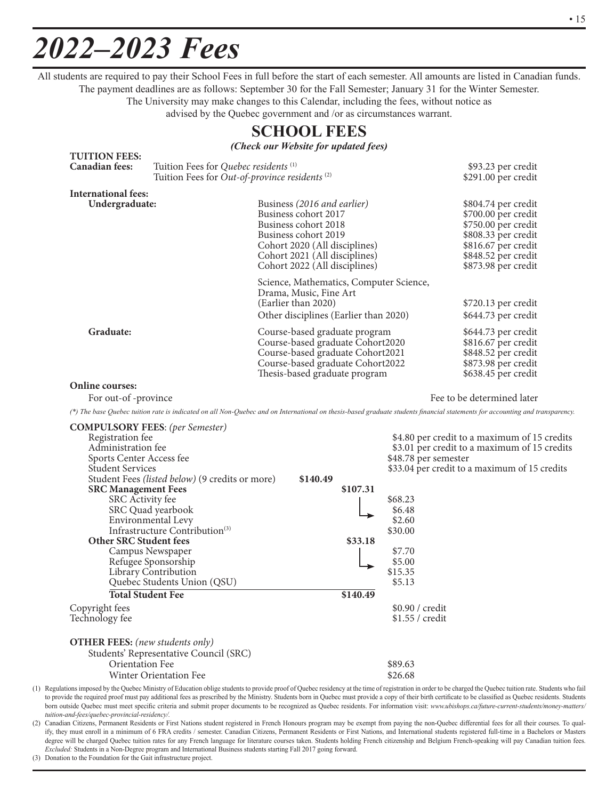# *2022–2023 Fees*

All students are required to pay their School Fees in full before the start of each semester. All amounts are listed in Canadian funds. The payment deadlines are as follows: September 30 for the Fall Semester; January 31 for the Winter Semester. The University may make changes to this Calendar, including the fees, without notice as

advised by the Quebec government and /or as circumstances warrant.

# **SCHOOL FEES**

*(Check our Website for updated fees)*

| <b>TUITION FEES:</b>                                                                                                                    |                                                                                                               |                                                                                                                                                                                                        |                                                                                                                 |                                                                                                                                                                              |  |  |
|-----------------------------------------------------------------------------------------------------------------------------------------|---------------------------------------------------------------------------------------------------------------|--------------------------------------------------------------------------------------------------------------------------------------------------------------------------------------------------------|-----------------------------------------------------------------------------------------------------------------|------------------------------------------------------------------------------------------------------------------------------------------------------------------------------|--|--|
| <b>Canadian fees:</b>                                                                                                                   | Tuition Fees for Quebec residents <sup>(1)</sup><br>Tuition Fees for Out-of-province residents <sup>(2)</sup> |                                                                                                                                                                                                        |                                                                                                                 | \$93.23 per credit<br>$$291.00$ per credit                                                                                                                                   |  |  |
| <b>International fees:</b>                                                                                                              |                                                                                                               |                                                                                                                                                                                                        |                                                                                                                 |                                                                                                                                                                              |  |  |
| Undergraduate:                                                                                                                          |                                                                                                               | Business (2016 and earlier)<br>Business cohort 2017<br>Business cohort 2018<br>Business cohort 2019<br>Cohort 2020 (All disciplines)<br>Cohort 2021 (All disciplines)<br>Cohort 2022 (All disciplines) |                                                                                                                 | \$804.74 per credit<br>\$700.00 per credit<br>\$750.00 per credit<br>\$808.33 per credit<br>\$816.67 per credit<br>\$848.52 per credit<br>\$873.98 per credit                |  |  |
|                                                                                                                                         |                                                                                                               | Science, Mathematics, Computer Science,<br>Drama, Music, Fine Art<br>(Earlier than 2020)<br>Other disciplines (Earlier than 2020)                                                                      |                                                                                                                 | \$720.13 per credit<br>\$644.73 per credit                                                                                                                                   |  |  |
| Graduate:                                                                                                                               |                                                                                                               | Course-based graduate program<br>Course-based graduate Cohort2020<br>Course-based graduate Cohort2021<br>Course-based graduate Cohort2022<br>Thesis-based graduate program                             | \$644.73 per credit<br>\$816.67 per credit<br>\$848.52 per credit<br>\$873.98 per credit<br>\$638.45 per credit |                                                                                                                                                                              |  |  |
| <b>Online courses:</b>                                                                                                                  |                                                                                                               |                                                                                                                                                                                                        |                                                                                                                 |                                                                                                                                                                              |  |  |
| For out-of -province                                                                                                                    |                                                                                                               | Fee to be determined later                                                                                                                                                                             |                                                                                                                 |                                                                                                                                                                              |  |  |
|                                                                                                                                         |                                                                                                               |                                                                                                                                                                                                        |                                                                                                                 | (*) The base Quebec tuition rate is indicated on all Non-Quebec and on International on thesis-based graduate students financial statements for accounting and transparency. |  |  |
| <b>COMPULSORY FEES:</b> (per Semester)<br>Registration fee<br>Administration fee<br>Sports Center Access fee<br><b>Student Services</b> |                                                                                                               | \$4.80 per credit to a maximum of 15 credits<br>\$3.01 per credit to a maximum of 15 credits<br>\$48.78 per semester<br>\$33.04 per credit to a maximum of 15 credits                                  |                                                                                                                 |                                                                                                                                                                              |  |  |
|                                                                                                                                         | Student Fees (listed below) (9 credits or more)                                                               | \$140.49                                                                                                                                                                                               |                                                                                                                 |                                                                                                                                                                              |  |  |
| <b>SRC Management Fees</b><br>SRC Activity fee                                                                                          | SRC Quad yearbook<br>Environmental Levy<br>Infrastructure Contribution <sup>(3)</sup>                         | \$107.31                                                                                                                                                                                               | \$68.23<br>\$6.48<br>\$2.60<br>\$30.00                                                                          |                                                                                                                                                                              |  |  |
| <b>Other SRC Student fees</b><br><b>Total Student Fee</b>                                                                               | Campus Newspaper<br>Refugee Sponsorship<br>Library Contribution<br>Quebec Students Union (QSU)                | \$33.18                                                                                                                                                                                                | \$7.70<br>\$5.00<br>\$15.35<br>\$5.13                                                                           |                                                                                                                                                                              |  |  |
|                                                                                                                                         |                                                                                                               | \$140.49                                                                                                                                                                                               |                                                                                                                 |                                                                                                                                                                              |  |  |
| Copyright fees<br>Technology fee                                                                                                        |                                                                                                               |                                                                                                                                                                                                        | \$0.90 / credit<br>\$1.55 / credit                                                                              |                                                                                                                                                                              |  |  |
| <b>OTHER FEES:</b> (new students only)<br><b>Orientation Fee</b>                                                                        | Students' Representative Council (SRC)<br><b>Winter Orientation Fee</b>                                       |                                                                                                                                                                                                        | \$89.63<br>\$26.68                                                                                              |                                                                                                                                                                              |  |  |

(1) Regulations imposed by the Quebec Ministry of Education oblige students to provide proof of Quebec residency at the time of registration in order to be charged the Quebec tuition rate. Students who fail to provide the required proof must pay additional fees as prescribed by the Ministry. Students born in Quebec must provide a copy of their birth certificate to be classified as Quebec residents. Students born outside Quebec must meet specific criteria and submit proper documents to be recognized as Quebec residents. For information visit: *www.ubishops.ca/future-current-students/money-matters/ tuition-and-fees/quebec-provincial-residency/.*

(2) Canadian Citizens, Permanent Residents or First Nations student registered in French Honours program may be exempt from paying the non-Quebec differential fees for all their courses. To qualify, they must enroll in a minimum of 6 FRA credits / semester. Canadian Citizens, Permanent Residents or First Nations, and International students registered full-time in a Bachelors or Masters degree will be charged Quebec tuition rates for any French language for literature courses taken. Students holding French citizenship and Belgium French-speaking will pay Canadian tuition fees. *Excluded:* Students in a Non-Degree program and International Business students starting Fall 2017 going forward.

(3) Donation to the Foundation for the Gait infrastructure project.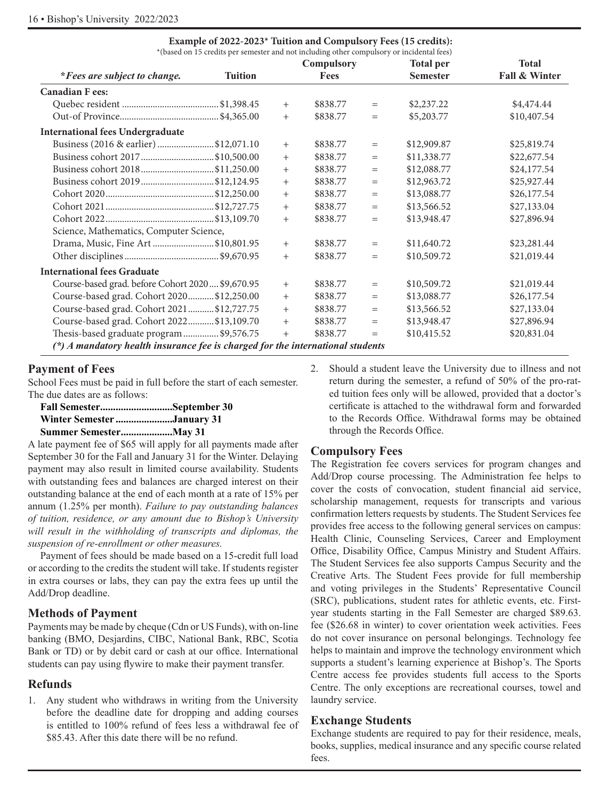| *(based on 15 credits per semester and not including other compulsory or incidental fees) |        |                           |     |                  |                               |
|-------------------------------------------------------------------------------------------|--------|---------------------------|-----|------------------|-------------------------------|
|                                                                                           |        | Compulsory<br><b>Fees</b> |     | <b>Total per</b> | <b>Total</b><br>Fall & Winter |
| *Fees are subject to change.<br><b>Tuition</b>                                            |        |                           |     | <b>Semester</b>  |                               |
| <b>Canadian F ees:</b>                                                                    |        |                           |     |                  |                               |
|                                                                                           | $+$    | \$838.77                  | $=$ | \$2,237.22       | \$4,474.44                    |
|                                                                                           | $+$    | \$838.77                  | $=$ | \$5,203.77       | \$10,407.54                   |
| <b>International fees Undergraduate</b>                                                   |        |                           |     |                  |                               |
| Business (2016 & earlier) \$12,071.10                                                     | $^{+}$ | \$838.77                  | $=$ | \$12,909.87      | \$25,819.74                   |
| Business cohort 2017\$10,500.00                                                           | $+$    | \$838.77                  | $=$ | \$11,338.77      | \$22,677.54                   |
| Business cohort 2018\$11,250.00                                                           | $+$    | \$838.77                  | $=$ | \$12,088.77      | \$24,177.54                   |
| Business cohort 2019\$12,124.95                                                           | $+$    | \$838.77                  | $=$ | \$12,963.72      | \$25,927.44                   |
|                                                                                           | $+$    | \$838.77                  | $=$ | \$13,088.77      | \$26,177.54                   |
|                                                                                           | $+$    | \$838.77                  | $=$ | \$13,566.52      | \$27,133.04                   |
|                                                                                           | $+$    | \$838.77                  | $=$ | \$13,948.47      | \$27,896.94                   |
| Science, Mathematics, Computer Science,                                                   |        |                           |     |                  |                               |
| Drama, Music, Fine Art\$10,801.95                                                         | $+$    | \$838.77                  | $=$ | \$11,640.72      | \$23,281.44                   |
|                                                                                           | $+$    | \$838.77                  | $=$ | \$10,509.72      | \$21,019.44                   |
| <b>International fees Graduate</b>                                                        |        |                           |     |                  |                               |
| Course-based grad. before Cohort 2020 \$9,670.95                                          | $+$    | \$838.77                  | $=$ | \$10,509.72      | \$21,019.44                   |
| Course-based grad. Cohort 2020 \$12,250.00                                                | $+$    | \$838.77                  | $=$ | \$13,088.77      | \$26,177.54                   |
| Course-based grad. Cohort 2021 \$12,727.75                                                | $+$    | \$838.77                  | $=$ | \$13,566.52      | \$27,133.04                   |
| Course-based grad. Cohort 2022 \$13,109.70                                                | $+$    | \$838.77                  | $=$ | \$13,948.47      | \$27,896.94                   |
| Thesis-based graduate program\$9,576.75                                                   | $+$    | \$838.77                  | $=$ | \$10,415.52      | \$20,831.04                   |
| $(*)$ A mandatory health insurance fee is charged for the international students          |        |                           |     |                  |                               |

# **Example of 2022-2023\* Tuition and Compulsory Fees (15 credits):**

# **Payment of Fees**

School Fees must be paid in full before the start of each semester. The due dates are as follows:

| Fall SemesterSeptember 30  |  |
|----------------------------|--|
| Winter Semester January 31 |  |
| Summer SemesterMay 31      |  |

A late payment fee of \$65 will apply for all payments made after September 30 for the Fall and January 31 for the Winter. Delaying payment may also result in limited course availability. Students with outstanding fees and balances are charged interest on their outstanding balance at the end of each month at a rate of 15% per annum (1.25% per month). *Failure to pay outstanding balances of tuition, residence, or any amount due to Bishop's University will result in the withholding of transcripts and diplomas, the suspension of re-enrollment or other measures.*

Payment of fees should be made based on a 15-credit full load or according to the credits the student will take. If students register in extra courses or labs, they can pay the extra fees up until the Add/Drop deadline.

## **Methods of Payment**

Payments may be made by cheque (Cdn or US Funds), with on-line banking (BMO, Desjardins, CIBC, National Bank, RBC, Scotia Bank or TD) or by debit card or cash at our office. International students can pay using flywire to make their payment transfer.

# **Refunds**

1. Any student who withdraws in writing from the University before the deadline date for dropping and adding courses is entitled to 100% refund of fees less a withdrawal fee of \$85.43. After this date there will be no refund.

2. Should a student leave the University due to illness and not return during the semester, a refund of 50% of the pro-rated tuition fees only will be allowed, provided that a doctor's certificate is attached to the withdrawal form and forwarded to the Records Office. Withdrawal forms may be obtained through the Records Office.

# **Compulsory Fees**

The Registration fee covers services for program changes and Add/Drop course processing. The Administration fee helps to cover the costs of convocation, student financial aid service, scholarship management, requests for transcripts and various confirmation letters requests by students. The Student Services fee provides free access to the following general services on campus: Health Clinic, Counseling Services, Career and Employment Office, Disability Office, Campus Ministry and Student Affairs. The Student Services fee also supports Campus Security and the Creative Arts. The Student Fees provide for full membership and voting privileges in the Students' Representative Council (SRC), publications, student rates for athletic events, etc. Firstyear students starting in the Fall Semester are charged \$89.63. fee (\$26.68 in winter) to cover orientation week activities. Fees do not cover insurance on personal belongings. Technology fee helps to maintain and improve the technology environment which supports a student's learning experience at Bishop's. The Sports Centre access fee provides students full access to the Sports Centre. The only exceptions are recreational courses, towel and laundry service.

## **Exchange Students**

Exchange students are required to pay for their residence, meals, books, supplies, medical insurance and any specific course related fees.